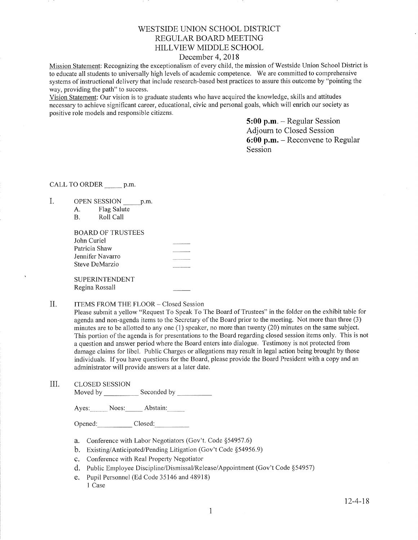## V/ESTSIDE LINION SCHOOL DISTRICT REGULAR BOARD MEETING HILLVIEW MIDDLE, SCHOOL

## December 4, 2018

Mission Statement: Recognizing the exceptionalism of every child, the mission of Westside Union School District is to educate all students to universally high levels of academic competence. We are committed to comprehensive systems of instructional delivery that include research-based best practices to assure this outcome by "pointing the way, providing the path" to success.

Vision Statement: Our vision is to graduate students who have acquired the knowledge, skills and attitudes necessary to achieve significant career, educational, civic and personal goals, which will enrich our society as positive role models and responsible citizens.

> 5:00 p.m. - Regular Session Adjourn to Closed Session 6:00 p.m. - Reconvene to Regular Session

CALL TO ORDER p.m.

- I.
- OPEN SESSION \_p.m. A. Flag Salute B. RollCall

| BOARD OF TRUSTEES     |  |
|-----------------------|--|
| John Curiel           |  |
| Patricia Shaw         |  |
| Jennifer Navarro      |  |
| Steve DeMarzio        |  |
|                       |  |
| <b>SUPERINTENDENT</b> |  |

- Regina Rossall
- II. ITEMS FROM THE FLOOR Closed Session

Please submit a yellow "Request To Speak To The Board of Trustees" in the folder on the exhibit table for agenda and non-agenda items to the Secretary of the Board prior to the meeting. Not more than three (3) minutes are to be allotted to any one (1) speaker, no more than twenty (20) minutes on the same subject. This portion of the agenda is for presentations to the Board regarding closed session items only. This is not a question and answer period where the Board enters into dialogue. Testimony is not protected from damage claims for libel. Public Charges or allegations may result in legal action being brought by those individuals. If you have questions for the Board, please provide the Board President with a copy and an administrator will provide answers at a later date.

III. CLOSED SESSION

Moved by Seconded by

Ayes: Noes: Abstain:

Opened: Closed:

- a. Conference with Labor Negotiators (Gov't. Code \$54957.6)
- b. Existing/Anticipated/Pending Litigation (Gov't Code \$54956.9)
- c. Conference with Real Property Negotiator
- d. Public Employee Discipline/Dismissal/Release/Appointment (Gov't Code \$54957)
- e. Pupil Personnel (Ed Code 35146 and 48918) 1 Case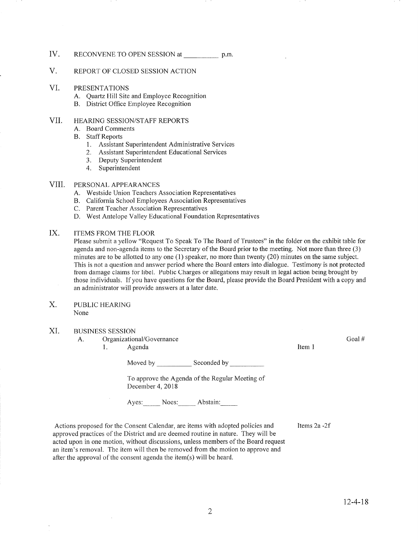## IV. RECONVENE TO OPEN SESSION at p.m.

#### V. REPORT OF CLOSED SESSION ACTION

#### VI. PRESENTATIONS

- A. Quartz Hill Site and Employee Recognition B. District Office Employee Recognition
- 

#### VII HEARING SESSION/STAFF REPORTS

- A. Board Comments
- B. Staff Reports
	- 1. Assistant Superintendent Administrative Services
	- 2. Assistant Superintendent Educational Services
	- 3. Deputy Superintendent
	- 4. Superintendent

#### PERSONAL APPEARANCES VIII.

- 
- A. Westside Union Teachers Association Representatives<br>B. California School Employees Association Representatives
- C. Parent Teacher Association Representatives
- D. West Antelope Valley Educational Foundation Representatives

#### ITEMS FROM THE FLOOR IX

Please submit a yellow "Request To Speak To The Board of Trustees" in the folder on the exhibit table for agenda and non-agenda iterns to the Secretary of the Board prior to the meeting. Not more than three (3) minutes are to be allotted to any one (1) speaker, no more than twenty (20) minutes on the same subject. This is not a question and answer period where the Board enters into dialogue. Testimony is not protected fiom damage claims for libel. Public Charges or allegations may result in legal action being brought by those individuals. If you have questions for the Board, please provide the Board President with a copy and an administrator will provide answers at a later date.

PUBLIC HEARING None X.

### XI. BUSINESS SESSION

A. Organizational/Governance

1. Agenda 11. aastal 11. aastal 11. aastal 11. aastal 11. aastal 11. aastal 11. aastal 11. aastal 11. aastal 1

Moved by Seconded by Seconded by Seconded by Seconded by Seconded by Seconded by Seconded by Seconded by Seconded by Seconded by Seconded by Seconded by Seconded by Seconded by Seconded by Seconded by Seconded by Seconded

To approve the Agenda of the Regular Meeting of December 4, 2018

Ayes: Noes: Abstain:

Actions proposed for the Consent Calendar, are items with adopted policies and approved practices of the District and are deemed routine in nature. They will be acted upon in one motion, without discussions, unless members of the Board request an item's removal. The item will then be removed from the motion to approve and after the approval of the consent agenda the item(s) will be heard.

ltems 2a -21

Goal #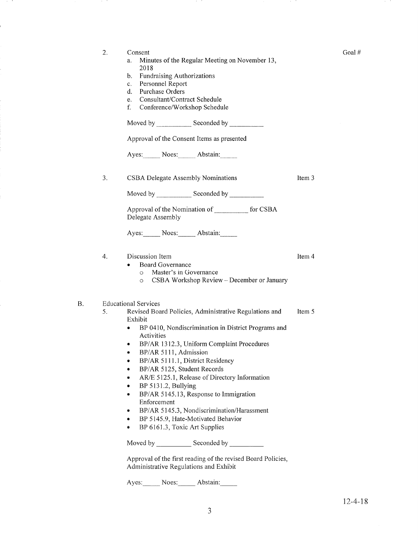| 2. | Consent<br>Minutes of the Regular Meeting on November 13,<br>a.<br>2018<br><b>Fundraising Authorizations</b><br>b.<br>Personnel Report<br>c.<br>Purchase Orders<br>d.<br>Consultant/Contract Schedule<br>e.<br>f.<br>Conference/Workshop Schedule                                                                                                                                                                                                                                                                                                                                                                                                                                                           |        |
|----|-------------------------------------------------------------------------------------------------------------------------------------------------------------------------------------------------------------------------------------------------------------------------------------------------------------------------------------------------------------------------------------------------------------------------------------------------------------------------------------------------------------------------------------------------------------------------------------------------------------------------------------------------------------------------------------------------------------|--------|
|    |                                                                                                                                                                                                                                                                                                                                                                                                                                                                                                                                                                                                                                                                                                             |        |
|    | Approval of the Consent Items as presented                                                                                                                                                                                                                                                                                                                                                                                                                                                                                                                                                                                                                                                                  |        |
|    | Ayes: Noes: Abstain:                                                                                                                                                                                                                                                                                                                                                                                                                                                                                                                                                                                                                                                                                        |        |
| 3. | CSBA Delegate Assembly Nominations                                                                                                                                                                                                                                                                                                                                                                                                                                                                                                                                                                                                                                                                          | Item 3 |
|    | Moved by Seconded by Seconded by Seconded by Seconded by Seconded by Seconded by Seconded by Seconded by Seconded by Seconded by Seconded by Seconded by Seconded by Seconded by Seconded by Seconded by Seconded by Seconded                                                                                                                                                                                                                                                                                                                                                                                                                                                                               |        |
|    | Approval of the Nomination of ___________ for CSBA<br>Delegate Assembly                                                                                                                                                                                                                                                                                                                                                                                                                                                                                                                                                                                                                                     |        |
|    | Ayes: Noes: Abstain:                                                                                                                                                                                                                                                                                                                                                                                                                                                                                                                                                                                                                                                                                        |        |
| 4. | Discussion Item<br><b>Board Governance</b><br>Master's in Governance<br>$\circ$<br>CSBA Workshop Review - December or January<br>$\circ$                                                                                                                                                                                                                                                                                                                                                                                                                                                                                                                                                                    | Item 4 |
| 5. | <b>Educational Services</b><br>Revised Board Policies, Administrative Regulations and<br>Exhibit<br>BP 0410, Nondiscrimination in District Programs and<br>$\bullet$<br>Activities<br>BP/AR 1312.3, Uniform Complaint Procedures<br>٠<br>BP/AR 5111, Admission<br>BP/AR 5111.1, District Residency<br>BP/AR 5125, Student Records<br>AR/E 5125.1, Release of Directory Information<br>BP 5131.2, Bullying<br>BP/AR 5145.13, Response to Immigration<br>Enforcement<br>BP/AR 5145.3, Nondiscrimination/Harassment<br>۰<br>BP 5145.9, Hate-Motivated Behavior<br>BP 6161.3, Toxic Art Supplies<br>۰<br>Approval of the first reading of the revised Board Policies,<br>Administrative Regulations and Exhibit | Item 5 |

195 T

Ayes: Noes: Abstain:

B

an in

19. CO

Goal #

19. TO

19. TO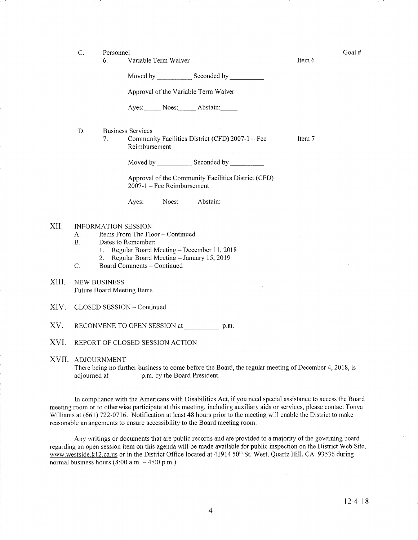C. Personnel Goal #

Item 6

Item 7

6. Variable Term Waiver

Moved by Seconded by Seconded by Seconded by Seconded by Seconded by Seconded by Seconded by Seconded by Seconded by Seconded by Seconded by Seconded by Seconded by Seconded by Seconded by Seconded by Seconded by Seconded

Approval of the Variable Term Waiver

Ayes: Noes: Abstain:

D Business Services

> 7. Community Facilities District (CFD) 2007-1 - Fee Reimbursement

> > Moved by \_\_\_\_\_\_\_\_\_\_\_\_ Seconded by \_

Approval of the Community Facilities District (CFD) 2001-1 - Fee Reimbursement

Ayes: Noes: Abstain:

#### INFORMATION SESSION XII.

- A. Items From The Floor Continued<br>B. Dates to Remember:
- 
- 1. Regular Board Meeting December 11, 2018<br>2. Regular Board Meeting January 15, 2019<br>C. Board Comments Continued
	-
- 
- XIII. NEw BUSINESS Future Board Meeting Items
- XIV. CLOSED SESSION Continued
- XV. RECONVENE TO OPEN SESSION at p.m.
- XVI. REPORT OF CLOSED SESSION ACTION

#### XVII ADJOURNMENT

There being no further business to come before the Board, the regular meeting of December 4, 2018, is adjourned at p.m. by the Board President.

In compliance with the Americans with Disabilities Act, if you need special assistance to access the Board meeting room or to otherwise participate at this meeting, including auxiliary aids or services, please contact Tonya Williams at (661) 722-0716. Notification at least 48 hours prior to the meeting will enable the District to make reasonable arrangements to ensure accessibility to the Board meeting room.

Any writings or documents that are public records and are provided to a majority of the governing board regarding an open session item on this agenda will be made available for public inspection on the District Web Site, www.westside.k12.ca.us or in the District Office located at 41914 50<sup>th</sup> St. West, Quartz Hill, CA 93536 during normal business hours  $(8:00$  a.m.  $-4:00$  p.m.).

 $\bar{z}$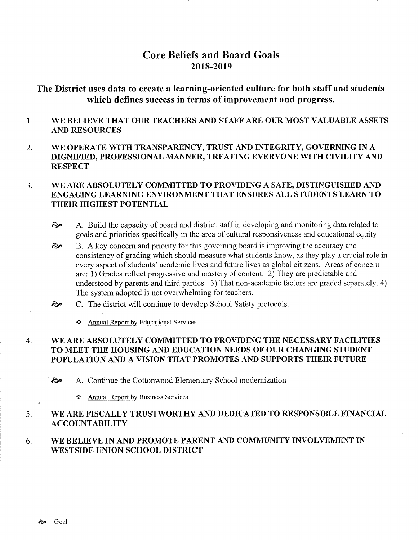# Core Beliefs and Board Goals 2018-2019

The District uses data to create a learning-oriented culture for both staff and students which defines success in terms of improvement and progress.

- 1 WE BELIEVE THAT OUR TEACHERS AND STAFF ARE OUR MOST VALUABLE ASSETS AND RESOURCES
- 2. WE OPERATE WITH TRANSPARENCY, TRUST AND INTEGRITY, GOVERNING IN A DIGNIFIED, PROFESSIONAL MANNER, TREATING EVERYONE WITH CIVILITY AND RESPECT

### WE ARE ABSOLUTELY COMMITTED TO PROVIDING A SAFE, DISTINGUISHED AND ENGAGING LEARNING ENVIRONMENT THAT ENSURES ALL STUDENTS LEARN TO THEIR HIGHEST POTENTIAL  $3<sub>1</sub>$

- $\odot$  A. Build the capacity of board and district staff in developing and monitoring data related to goals and priorities specifically in the area of cultural responsiveness and educational equity
- B. A key concern and priority for this governing board is improving the accuracy and consistency of grading which should measure what students know, as they play a crucial role in every aspect of students' academic lives and future lives as global citizens. Areas of concern are: i) Grades reflect progressive and mastery of content. 2) They are predictable and understood by parents and third parties. 3) That non-academic factors are graded separately. 4) The system adopted is not overwhelming for teachers. ôp
- C. The district will continue to develop School Safety protocols.  $\hat{\sigma}$ 
	- ..'. Annual Report by Educational Services

#### WE ARE ABSOLUTELY COMMITTED TO PROVIDING THE NECESSARY FACILITIES TO MEET THE HOUSING AND EDUCATION NEEDS OF OUR CHANGING STUDENT POPULATION AND A VISION THAT PROMOTES AND SUPPORTS THEIR FUTURE 4

èp A. Continue the Cottonwood Elementary School modernization

\* Annual Report by Business Services

#### WE ARE FISCALLY TRUSTWORTHY AND DEDICATED TO RESPONSIBLE FINANCIAL ACCOUNTABILITY 5

WE BELIEVE IN AND PROMOTE PARENT AND COMMUNITY INVOLVEMENT IN WESTSIDE UNION SCHOOL DISTRICT 6.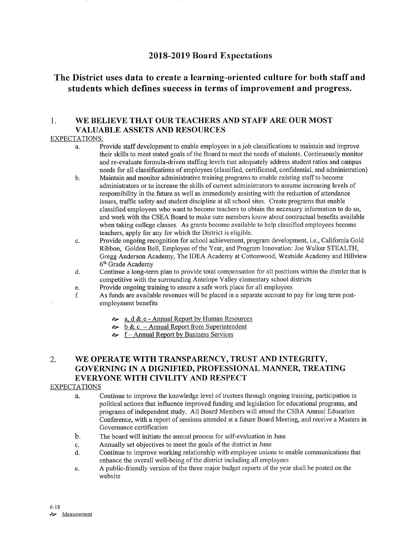## 2018-2019 Board Expectations

# The District uses data to create a learning-oriented culture for both staff and students which defines success in terms of improvement and progress.

## 1. WE BELIEVE THAT OUR TEACHERS AND STAFF ARE OUR MOST **VALUABLE ASSETS AND RESOURCES**

### EXPECTATIONS:

- Provide staff development to enable employees in a job classifications to maintain and improve a. their skills to meet stated goals of the Board to meet the needs of students. Continuously monitor and re-evaluate formula-driven staffing levels that adequately address student ratios and campus needs for all classifications of employees (classified, certificated, confidential, and administration) b.
	- Maintain and monitor administrative training programs to enable existing staff to become administrators or to increase the skills of current administrators to assume increasing levels of responsibility in the future as well as immediately assisting with the reduction of attendance issues, traffic safety and sfudent discipline at all school sites. Create programs that enable classified employees who want to become teachers to obtain the necessary information to do so, and work with the CSEA Board to make sure members know about contractual benefits available when taking college classes. As grants become available to help classified employees become teachers, apply for any for which the District is eligible.
- Provide ongoing recognition for school achievement, program development, i.e., California Gold Ribbon, Golden Bell, Employee of the Year, and Program Innovation; Joe Walker STEALTH, Gregg Anderson Academy, The IDEA Academy at Cottonwood, Westside Academy and Hillview 6th Grade Academy c.
- Continue a long-term plan to provide total compensation for all positions within the district that is competitive with the surrounding Antelope Valley elementary school districts d.
- Provide ongoing training to ensure a safe work place for all employees e.
- As funds are available revenues will be placed in a separate account to pay for long term postemployment benefits f.
	- $\frac{\infty}{\infty}$  a. d & e Annual Report from Superintendent <br>  $\frac{\infty}{\infty}$  f Annual Report by Business Services
	-
	-

## 2, WE OPERATE WITH TRANSPARENCY, TRUST AND INTEGRITY, GOVERNING IN A DIGNIFIED, PROFESSIONAL MANNER, TREATING EVERYONE WITH CIVILITY AND RESPECT

### EXPECTATIONS

- a. Continue to improve the knowledge level of trustees through ongoing training, participation in political actions that influence improved funding and legislation for educational programs, and programs of independent study. All Board Members will attend the CSBA Annual Education Conference, with a report of sessions attended at a future Board Meeting, and receive a Masters in Governance certification
- b. The board will initiate the annual process for self-evaluation in June
- 
- c. Annually set objectives to meet the goals of the district in June d. Continue to improve working relationship with employee unions to enable communications that enhance the overall well-being of the district including all employees
- e. A public-friendly version of the three major budget reports of the year shall be posted on the website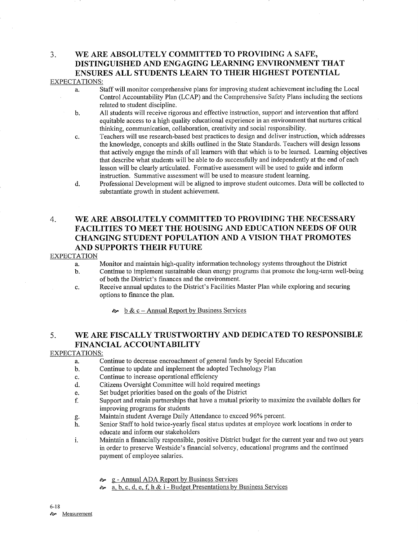# 3. WE ARE ABSOLUTELY COMMITTED TO PROVIDING A SAFE, DISTINGUISHED AND ENGAGING LEARNING ENVIRONMENT THAT ENSURES ALL STUDENTS LEARN TO THEIR HIGHEST POTENTIAL

## EXPECTATIONS:

- à. Staff will monitor comprehensive plans for improving student achievement including the Local Control Accountabilify Plan (LCAP) and the Comprehensive Safely Plans including the sections related to student discipline.
- All students will receive rigorous and effective instruction, support and intervention that afford equitable access to a high quality educational experience in an environment that nurlures critical thinking, communication, collaboration, creativity and social responsibility. b
- Teachers will use research-based best practices to design and deliver instruction, which addresses the knowledge, concepts and skills outlined in the State Standards. Teachers will design lessons that actively engage the minds of all leamers with that which is to be learned. Leaming objectives that describe what students will be able to do successfully and independently at the end of each lesson will be clearly articulated. Formative assessment will be used to guide and inform instruction. Summative assessment will be used to measure student learning. c.
- Professional Development will be aligned to improve student outcomes. Data will be collected to substantiate growth in student achievement. d.

## 4. WE ARE ABSOLUTELY COMMITTED TO PROVIDING THE NECESSARY FACILITIES TO MEET THE HOUSING AND EDUCATION NEEDS OF OUR CHANGING STUDENT POPULATION AND A VISION THAT PROMOTES AND SUPPORTS THEIR FUTURE

### EXPECTATION

- a. Monitor and maintain high-quality information technology systems throughout the District
- b. Continue to implement sustainable clean energy programs that promote the long-term well-being of both the District's finances and the environment.
- c. Receive annual updates to the Disfrict's Facilities Master Plan while exploring and securing options to fmance the plan.
	- $\approx b \& c -$  Annual Report by Business Services

## 5. WE ARE FISCALLY TRUSTWORTHY AND DEDICATED TO RESPONSIBLE FINANCIAL ACCOUNTABILITY

## EXPECTATIONS:

- a. Continue to decrease encroachment of general funds by Special Education
- b. Continue to update and implement the adopted Technology Plan
- c. Continue to increase operational efficiency
- d. Citizens Oversight Committee will hold required meetings<br>e. Set budget priorities based on the goals of the District
- 
- e. Set budget priorities based on the goals of the District endeptheness of the Support and retain partnerships that have a mutual priority to maximize the available dollars for
- improving programs for students<br>Maintain student Average Daily Attendance to exceed 96% percent.
- g. Maintain student Average Daily Attendance to exceed 96% percent.<br>h. Senior Staff to hold twice-yearly fiscal status updates at employee work locations in order to educate and inform our stakeholders
- i. Maintâin a financially responsible, positive District budget for the current year and two out years in order to preserve Westside's financial solvency, educational programs and the continued payment of employee salaries.
	- **g** Annual ADA Report by Business Services
	- ôp a. b, c. d. e. f, h & i Budget Presentations by Business Services